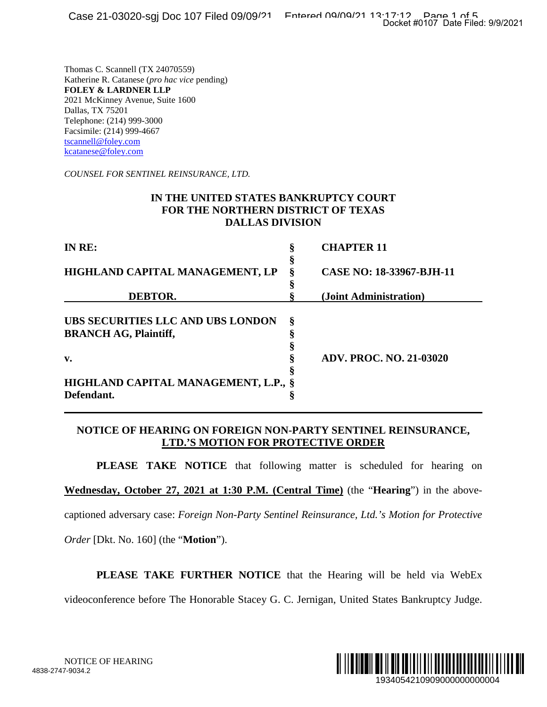#### **IN THE UNITED STATES BANKRUPTCY COURT FOR THE NORTHERN DISTRICT OF TEXAS DALLAS DIVISION**

|                                                                                                                                                                                                                                                                                    |                       | Docket #0107 Date Filed: 9/9/2021 |   |
|------------------------------------------------------------------------------------------------------------------------------------------------------------------------------------------------------------------------------------------------------------------------------------|-----------------------|-----------------------------------|---|
| Thomas C. Scannell (TX 24070559)<br>Katherine R. Catanese (pro hac vice pending)<br><b>FOLEY &amp; LARDNER LLP</b><br>2021 McKinney Avenue, Suite 1600<br>Dallas, TX 75201<br>Telephone: (214) 999-3000<br>Facsimile: (214) 999-4667<br>tscannell@foley.com<br>kcatanese@foley.com |                       |                                   |   |
| COUNSEL FOR SENTINEL REINSURANCE, LTD.                                                                                                                                                                                                                                             |                       |                                   |   |
| IN THE UNITED STATES BANKRUPTCY COURT<br>FOR THE NORTHERN DISTRICT OF TEXAS<br><b>DALLAS DIVISION</b>                                                                                                                                                                              |                       |                                   |   |
| IN RE:                                                                                                                                                                                                                                                                             | Š                     | <b>CHAPTER 11</b>                 |   |
| HIGHLAND CAPITAL MANAGEMENT, LP                                                                                                                                                                                                                                                    | §<br>§                | CASE NO: 18-33967-BJH-11          |   |
| <b>DEBTOR.</b>                                                                                                                                                                                                                                                                     | §                     | (Joint Administration)            |   |
| UBS SECURITIES LLC AND UBS LONDON<br><b>BRANCH AG, Plaintiff,</b><br>v.<br>HIGHLAND CAPITAL MANAGEMENT, L.P.,<br>Defendant.                                                                                                                                                        | §<br>§<br>§<br>§<br>§ | <b>ADV. PROC. NO. 21-03020</b>    |   |
| NOTICE OF HEARING ON FOREIGN NON-PARTY SENTINEL REINSURANCE,<br><b>LTD.'S MOTION FOR PROTECTIVE ORDER</b>                                                                                                                                                                          |                       |                                   |   |
| <b>PLEASE TAKE NOTICE</b> that following matter is scheduled for hearing on                                                                                                                                                                                                        |                       |                                   |   |
| Wednesday, October 27, 2021 at 1:30 P.M. (Central Time) (the "Hearing") in the above-                                                                                                                                                                                              |                       |                                   |   |
| captioned adversary case: Foreign Non-Party Sentinel Reinsurance, Ltd.'s Motion for Protective                                                                                                                                                                                     |                       |                                   |   |
| <i>Order</i> [Dkt. No. 160] (the " <b>Motion</b> ").                                                                                                                                                                                                                               |                       |                                   |   |
| <b>PLEASE TAKE FURTHER NOTICE</b> that the Hearing will be held via WebEx                                                                                                                                                                                                          |                       |                                   |   |
| videoconference before The Honorable Stacey G. C. Jernigan, United States Bankruptcy Judge.                                                                                                                                                                                        |                       |                                   |   |
| NOTICE OF HEARING<br>7-9034.2                                                                                                                                                                                                                                                      |                       | 1934054210909000000000004         | W |

#### **NOTICE OF HEARING ON FOREIGN NON-PARTY SENTINEL REINSURANCE, LTD.'S MOTION FOR PROTECTIVE ORDER**

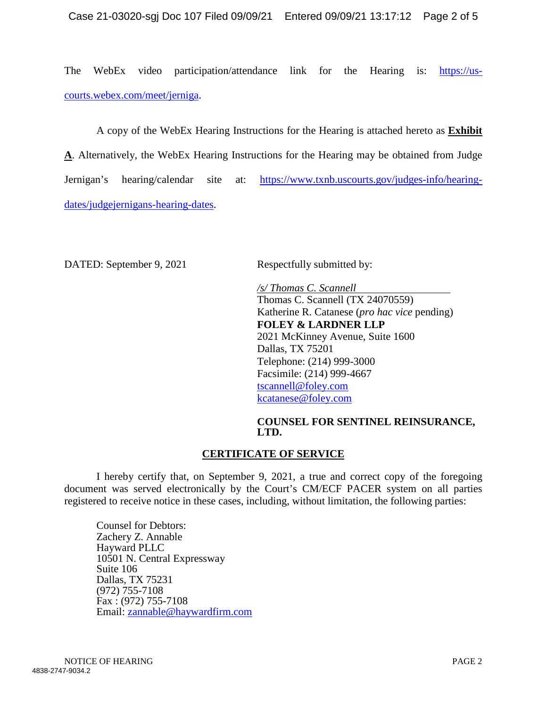The WebEx video participation/attendance link for the Hearing is: https://uscourts.webex.com/meet/jerniga.

A copy of the WebEx Hearing Instructions for the Hearing is attached hereto as **Exhibit A**. Alternatively, the WebEx Hearing Instructions for the Hearing may be obtained from Judge Jernigan's hearing/calendar site at: https://www.txnb.uscourts.gov/judges-info/hearingdates/judgejernigans-hearing-dates.

DATED: September 9, 2021 Respectfully submitted by:

*/s/ Thomas C. Scannell*  Thomas C. Scannell (TX 24070559) Katherine R. Catanese (*pro hac vice* pending) **FOLEY & LARDNER LLP**  2021 McKinney Avenue, Suite 1600 Dallas, TX 75201 Telephone: (214) 999-3000 Facsimile: (214) 999-4667 tscannell@foley.com kcatanese@foley.com

#### **COUNSEL FOR SENTINEL REINSURANCE, LTD.**

## **CERTIFICATE OF SERVICE**

I hereby certify that, on September 9, 2021, a true and correct copy of the foregoing document was served electronically by the Court's CM/ECF PACER system on all parties registered to receive notice in these cases, including, without limitation, the following parties:

Counsel for Debtors: Zachery Z. Annable Hayward PLLC 10501 N. Central Expressway Suite 106 Dallas, TX 75231 (972) 755-7108 Fax : (972) 755-7108 Email: zannable@haywardfirm.com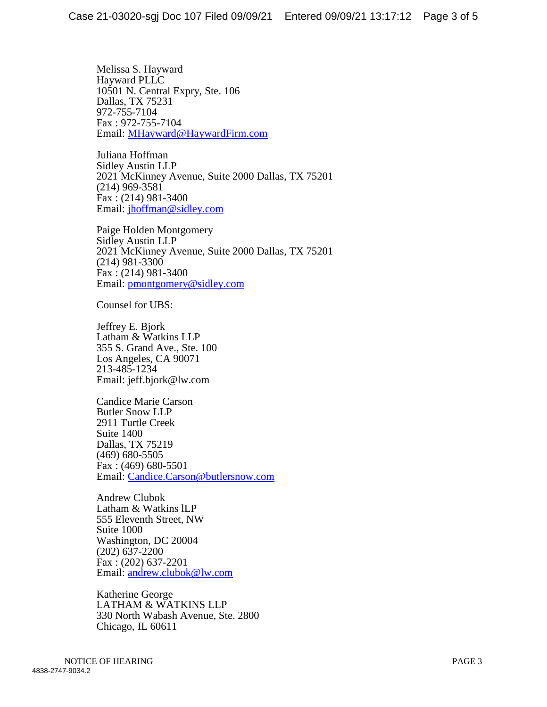Melissa S. Hayward Hayward PLLC 10501 N. Central Expry, Ste. 106 Dallas, TX 75231 972-755-7104 Fax : 972-755-7104 Email: MHayward@HaywardFirm.com

Juliana Hoffman Sidley Austin LLP 2021 McKinney Avenue, Suite 2000 Dallas, TX 75201 (214) 969-3581 Fax : (214) 981-3400 Email: jhoffman@sidley.com

Paige Holden Montgomery Sidley Austin LLP 2021 McKinney Avenue, Suite 2000 Dallas, TX 75201 (214) 981-3300 Fax : (214) 981-3400 Email: pmontgomery@sidley.com

Counsel for UBS:

Jeffrey E. Bjork Latham & Watkins LLP 355 S. Grand Ave., Ste. 100 Los Angeles, CA 90071 213-485-1234 Email: jeff.bjork@lw.com

Candice Marie Carson Butler Snow LLP 2911 Turtle Creek Suite 1400 Dallas, TX 75219 (469) 680-5505 Fax : (469) 680-5501 Email: Candice.Carson@butlersnow.com

Andrew Clubok Latham & Watkins lLP 555 Eleventh Street, NW Suite 1000 Washington, DC 20004 (202) 637-2200 Fax : (202) 637-2201 Email: andrew.clubok@lw.com

Katherine George LATHAM & WATKINS LLP 330 North Wabash Avenue, Ste. 2800 Chicago, IL 60611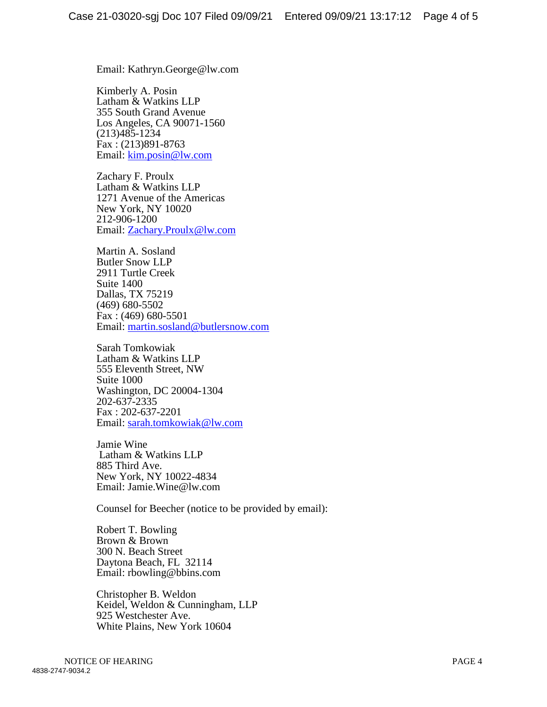Email: Kathryn.George@lw.com

Kimberly A. Posin Latham & Watkins LLP 355 South Grand Avenue Los Angeles, CA 90071-1560 (213)485-1234 Fax : (213)891-8763 Email: kim.posin@lw.com

Zachary F. Proulx Latham & Watkins LLP 1271 Avenue of the Americas New York, NY 10020 212-906-1200 Email: Zachary.Proulx@lw.com

Martin A. Sosland Butler Snow LLP 2911 Turtle Creek Suite 1400 Dallas, TX 75219 (469) 680-5502 Fax : (469) 680-5501 Email: martin.sosland@butlersnow.com

Sarah Tomkowiak Latham & Watkins LLP 555 Eleventh Street, NW Suite 1000 Washington, DC 20004-1304 202-637-2335 Fax : 202-637-2201 Email: sarah.tomkowiak@lw.com

Jamie Wine Latham & Watkins LLP 885 Third Ave. New York, NY 10022-4834 Email: Jamie.Wine@lw.com

Counsel for Beecher (notice to be provided by email):

Robert T. Bowling Brown & Brown 300 N. Beach Street Daytona Beach, FL 32114 Email: rbowling@bbins.com

Christopher B. Weldon Keidel, Weldon & Cunningham, LLP 925 Westchester Ave. White Plains, New York 10604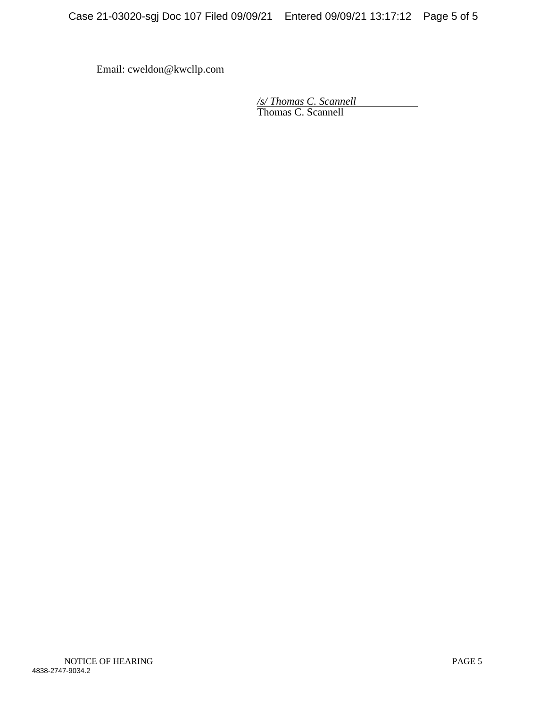Email: cweldon@kwcllp.com

*/s/ Thomas C. Scannell*  Thomas C. Scannell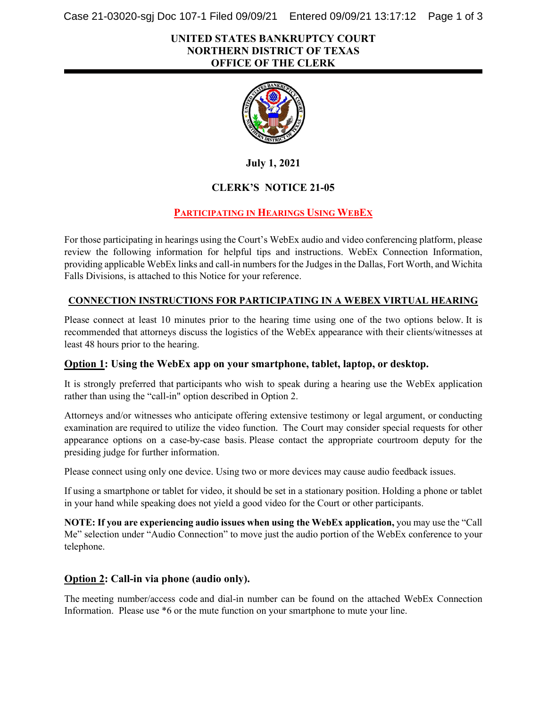Case 21-03020-sgj Doc 107-1 Filed 09/09/21 Entered 09/09/21 13:17:12 Page 1 of 3

#### **UNITED STATES BANKRUPTCY COURT NORTHERN DISTRICT OF TEXAS OFFICE OF THE CLERK**



**July 1, 2021**

## **CLERK'S NOTICE 21-05**

## **PARTICIPATING IN HEARINGS USING WEBEX**

For those participating in hearings using the Court's WebEx audio and video conferencing platform, please review the following information for helpful tips and instructions. WebEx Connection Information, providing applicable WebEx links and call-in numbersfor the Judges in the Dallas, Fort Worth, and Wichita Falls Divisions, is attached to this Notice for your reference.

#### **CONNECTION INSTRUCTIONS FOR PARTICIPATING IN A WEBEX VIRTUAL HEARING**

Please connect at least 10 minutes prior to the hearing time using one of the two options below. It is recommended that attorneys discuss the logistics of the WebEx appearance with their clients/witnesses at least 48 hours prior to the hearing.

#### **Option 1: Using the WebEx app on your smartphone, tablet, laptop, or desktop.**

It is strongly preferred that participants who wish to speak during a hearing use the WebEx application rather than using the "call-in" option described in Option 2.

Attorneys and/or witnesses who anticipate offering extensive testimony or legal argument, or conducting examination are required to utilize the video function. The Court may consider special requests for other appearance options on a case-by-case basis. Please contact the appropriate courtroom deputy for the presiding judge for further information.

Please connect using only one device. Using two or more devices may cause audio feedback issues.

If using a smartphone or tablet for video, it should be set in a stationary position. Holding a phone or tablet in your hand while speaking does not yield a good video for the Court or other participants.

**NOTE: If you are experiencing audio issues when using the WebEx application,** you may use the "Call Me" selection under "Audio Connection" to move just the audio portion of the WebEx conference to your telephone.

#### **Option 2: Call-in via phone (audio only).**

The meeting number/access code and dial-in number can be found on the attached WebEx Connection Information. Please use \*6 or the mute function on your smartphone to mute your line.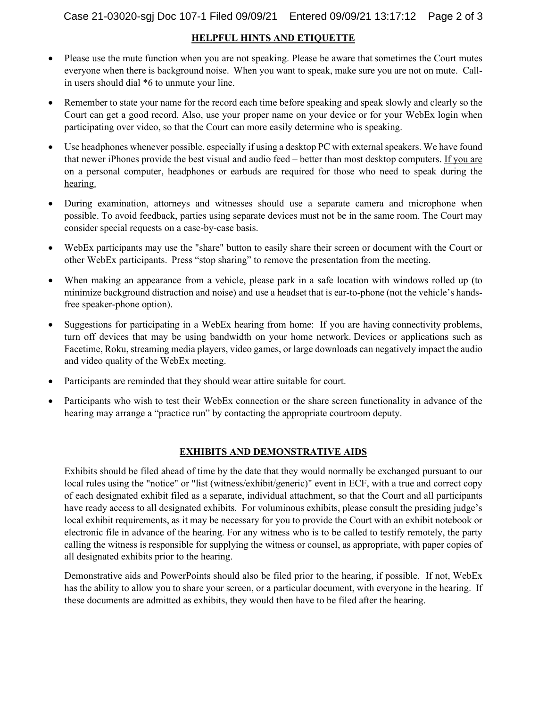#### **HELPFUL HINTS AND ETIQUETTE**

- Please use the mute function when you are not speaking. Please be aware that sometimes the Court mutes everyone when there is background noise.  When you want to speak, make sure you are not on mute. Callin users should dial \*6 to unmute your line.
- Remember to state your name for the record each time before speaking and speak slowly and clearly so the Court can get a good record. Also, use your proper name on your device or for your WebEx login when participating over video, so that the Court can more easily determine who is speaking.
- Use headphones whenever possible, especially if using a desktop PC with external speakers. We have found that newer iPhones provide the best visual and audio feed – better than most desktop computers. If you are on a personal computer, headphones or earbuds are required for those who need to speak during the hearing.
- During examination, attorneys and witnesses should use a separate camera and microphone when possible. To avoid feedback, parties using separate devices must not be in the same room. The Court may consider special requests on a case-by-case basis.
- WebEx participants may use the "share" button to easily share their screen or document with the Court or other WebEx participants.  Press "stop sharing" to remove the presentation from the meeting.
- When making an appearance from a vehicle, please park in a safe location with windows rolled up (to minimize background distraction and noise) and use a headset that is ear-to-phone (not the vehicle's handsfree speaker-phone option).
- Suggestions for participating in a WebEx hearing from home: If you are having connectivity problems, turn off devices that may be using bandwidth on your home network. Devices or applications such as Facetime, Roku, streaming media players, video games, or large downloads can negatively impact the audio and video quality of the WebEx meeting.
- Participants are reminded that they should wear attire suitable for court.
- Participants who wish to test their WebEx connection or the share screen functionality in advance of the hearing may arrange a "practice run" by contacting the appropriate courtroom deputy.

#### **EXHIBITS AND DEMONSTRATIVE AIDS**

Exhibits should be filed ahead of time by the date that they would normally be exchanged pursuant to our local rules using the "notice" or "list (witness/exhibit/generic)" event in ECF, with a true and correct copy of each designated exhibit filed as a separate, individual attachment, so that the Court and all participants have ready access to all designated exhibits. For voluminous exhibits, please consult the presiding judge's local exhibit requirements, as it may be necessary for you to provide the Court with an exhibit notebook or electronic file in advance of the hearing. For any witness who is to be called to testify remotely, the party calling the witness is responsible for supplying the witness or counsel, as appropriate, with paper copies of all designated exhibits prior to the hearing.

Demonstrative aids and PowerPoints should also be filed prior to the hearing, if possible. If not, WebEx has the ability to allow you to share your screen, or a particular document, with everyone in the hearing. If these documents are admitted as exhibits, they would then have to be filed after the hearing.